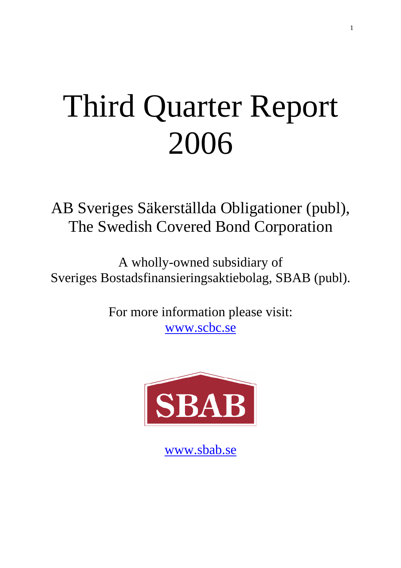# Third Quarter Report 2006

AB Sveriges Säkerställda Obligationer (publ), The Swedish Covered Bond Corporation

A wholly-owned subsidiary of Sveriges Bostadsfinansieringsaktiebolag, SBAB (publ).

> For more information please visit: www.scbc.se



www.sbab.se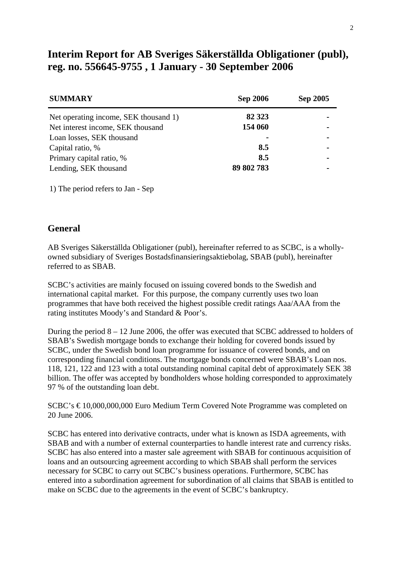## **Interim Report for AB Sveriges Säkerställda Obligationer (publ), reg. no. 556645-9755 , 1 January - 30 September 2006**

| <b>SUMMARY</b>                        | <b>Sep 2006</b> | <b>Sep 2005</b> |
|---------------------------------------|-----------------|-----------------|
| Net operating income, SEK thousand 1) | 82 3 23         |                 |
| Net interest income, SEK thousand     | 154 060         |                 |
| Loan losses, SEK thousand             | $\blacksquare$  |                 |
| Capital ratio, %                      | 8.5             |                 |
| Primary capital ratio, %              | 8.5             |                 |
| Lending, SEK thousand                 | 89 802 783      |                 |

1) The period refers to Jan - Sep

#### **General**

AB Sveriges Säkerställda Obligationer (publ), hereinafter referred to as SCBC, is a whollyowned subsidiary of Sveriges Bostadsfinansieringsaktiebolag, SBAB (publ), hereinafter referred to as SBAB.

SCBC's activities are mainly focused on issuing covered bonds to the Swedish and international capital market. For this purpose, the company currently uses two loan programmes that have both received the highest possible credit ratings Aaa/AAA from the rating institutes Moody's and Standard & Poor's.

During the period 8 – 12 June 2006, the offer was executed that SCBC addressed to holders of SBAB's Swedish mortgage bonds to exchange their holding for covered bonds issued by SCBC, under the Swedish bond loan programme for issuance of covered bonds, and on corresponding financial conditions. The mortgage bonds concerned were SBAB's Loan nos. 118, 121, 122 and 123 with a total outstanding nominal capital debt of approximately SEK 38 billion. The offer was accepted by bondholders whose holding corresponded to approximately 97 % of the outstanding loan debt.

SCBC's € 10,000,000,000 Euro Medium Term Covered Note Programme was completed on 20 June 2006.

SCBC has entered into derivative contracts, under what is known as ISDA agreements, with SBAB and with a number of external counterparties to handle interest rate and currency risks. SCBC has also entered into a master sale agreement with SBAB for continuous acquisition of loans and an outsourcing agreement according to which SBAB shall perform the services necessary for SCBC to carry out SCBC's business operations. Furthermore, SCBC has entered into a subordination agreement for subordination of all claims that SBAB is entitled to make on SCBC due to the agreements in the event of SCBC's bankruptcy.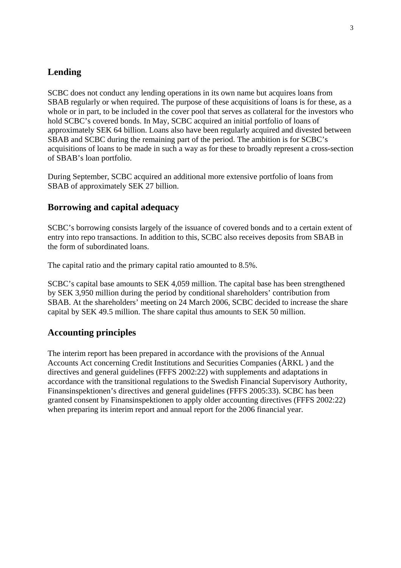## **Lending**

SCBC does not conduct any lending operations in its own name but acquires loans from SBAB regularly or when required. The purpose of these acquisitions of loans is for these, as a whole or in part, to be included in the cover pool that serves as collateral for the investors who hold SCBC's covered bonds. In May, SCBC acquired an initial portfolio of loans of approximately SEK 64 billion. Loans also have been regularly acquired and divested between SBAB and SCBC during the remaining part of the period. The ambition is for SCBC's acquisitions of loans to be made in such a way as for these to broadly represent a cross-section of SBAB's loan portfolio.

During September, SCBC acquired an additional more extensive portfolio of loans from SBAB of approximately SEK 27 billion.

#### **Borrowing and capital adequacy**

SCBC's borrowing consists largely of the issuance of covered bonds and to a certain extent of entry into repo transactions. In addition to this, SCBC also receives deposits from SBAB in the form of subordinated loans.

The capital ratio and the primary capital ratio amounted to 8.5%.

SCBC's capital base amounts to SEK 4,059 million. The capital base has been strengthened by SEK 3,950 million during the period by conditional shareholders' contribution from SBAB. At the shareholders' meeting on 24 March 2006, SCBC decided to increase the share capital by SEK 49.5 million. The share capital thus amounts to SEK 50 million.

#### **Accounting principles**

The interim report has been prepared in accordance with the provisions of the Annual Accounts Act concerning Credit Institutions and Securities Companies (ÅRKL ) and the directives and general guidelines (FFFS 2002:22) with supplements and adaptations in accordance with the transitional regulations to the Swedish Financial Supervisory Authority, Finansinspektionen's directives and general guidelines (FFFS 2005:33). SCBC has been granted consent by Finansinspektionen to apply older accounting directives (FFFS 2002:22) when preparing its interim report and annual report for the 2006 financial year.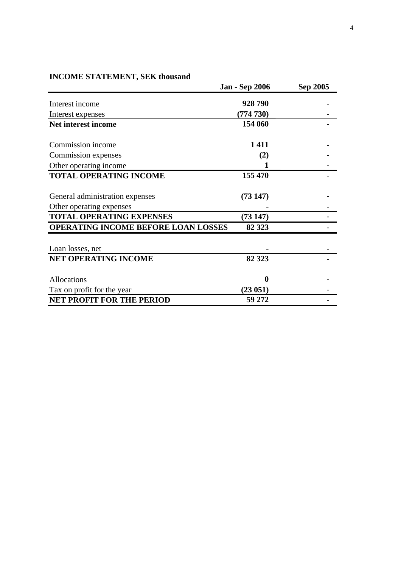#### **INCOME STATEMENT, SEK thousand**

| HACOME STATEMENT, SEIN HIOUSANG     | <b>Jan - Sep 2006</b> | Sep 2005 |
|-------------------------------------|-----------------------|----------|
| Interest income                     | 928790                |          |
| Interest expenses                   | (774 730)             |          |
| <b>Net interest income</b>          | 154 060               |          |
| Commission income                   | 1411                  |          |
| Commission expenses                 | (2)                   |          |
| Other operating income              |                       |          |
| <b>TOTAL OPERATING INCOME</b>       | 155 470               |          |
| General administration expenses     | (73147)               |          |
| Other operating expenses            |                       |          |
| <b>TOTAL OPERATING EXPENSES</b>     | (73147)               |          |
| OPERATING INCOME BEFORE LOAN LOSSES | 82 323                |          |
| Loan losses, net                    |                       |          |
| <b>NET OPERATING INCOME</b>         | 82 323                |          |
| Allocations                         | 0                     |          |
| Tax on profit for the year          | (23051)               |          |
| <b>NET PROFIT FOR THE PERIOD</b>    | 59 272                |          |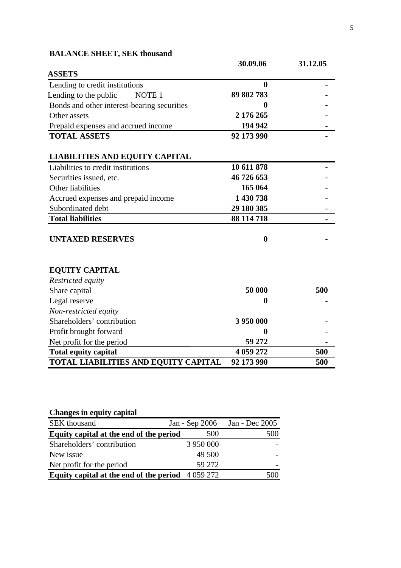|                                             | 30.09.06   | 31.12.05 |
|---------------------------------------------|------------|----------|
| <b>ASSETS</b>                               |            |          |
| Lending to credit institutions              | 0          |          |
| Lending to the public<br>NOTE <sub>1</sub>  | 89 802 783 |          |
| Bonds and other interest-bearing securities | 0          |          |
| Other assets                                | 2 176 265  |          |
| Prepaid expenses and accrued income         | 194 942    |          |
| <b>TOTAL ASSETS</b>                         | 92 173 990 |          |
| <b>LIABILITIES AND EQUITY CAPITAL</b>       |            |          |
| Liabilities to credit institutions          | 10 611 878 |          |
| Securities issued, etc.                     | 46 726 653 |          |
| Other liabilities                           | 165 064    |          |
| Accrued expenses and prepaid income         | 1 430 738  |          |
| Subordinated debt                           | 29 180 385 |          |
| <b>Total liabilities</b>                    | 88 114 718 |          |
| <b>UNTAXED RESERVES</b>                     | $\bf{0}$   |          |
| <b>EQUITY CAPITAL</b>                       |            |          |
| Restricted equity                           |            |          |
| Share capital                               | 50 000     | 500      |
| Legal reserve                               | $\bf{0}$   |          |
| Non-restricted equity                       |            |          |
| Shareholders' contribution                  | 3 950 000  |          |
| Profit brought forward                      | $\bf{0}$   |          |
| Net profit for the period                   | 59 272     |          |
| <b>Total equity capital</b>                 | 4 059 272  | 500      |
| TOTAL LIABILITIES AND EQUITY CAPITAL        | 92 173 990 | 500      |

### **BALANCE SHEET, SEK thousand**

| Changes in equity capital                         |                |                |
|---------------------------------------------------|----------------|----------------|
| SEK thousand                                      | Jan - Sep 2006 | Jan - Dec 2005 |
| Equity capital at the end of the period           | 500            | 500            |
| Shareholders' contribution                        | 3 950 000      |                |
| New issue                                         | 49 500         |                |
| Net profit for the period                         | 59 27 2        |                |
| Equity capital at the end of the period $4059272$ |                | $($ i $()()$   |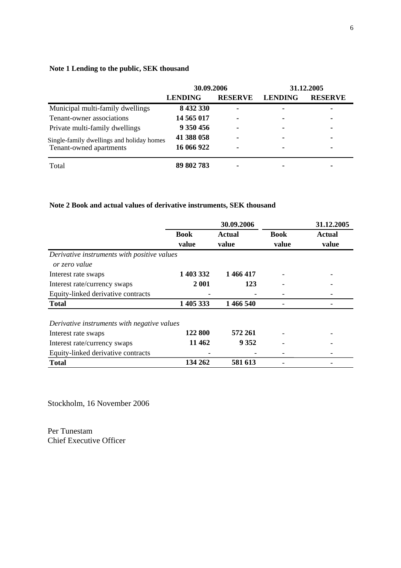#### **Note 1 Lending to the public, SEK thousand**

|                                                                      | 30.09.2006     |                | 31.12.2005     |                |
|----------------------------------------------------------------------|----------------|----------------|----------------|----------------|
|                                                                      | <b>LENDING</b> | <b>RESERVE</b> | <b>LENDING</b> | <b>RESERVE</b> |
| Municipal multi-family dwellings                                     | 8 432 330      | $\blacksquare$ | -              | ۰              |
| Tenant-owner associations                                            | 14 565 017     | $\blacksquare$ | ۰              | ۰              |
| Private multi-family dwellings                                       | 9 350 456      | $\blacksquare$ | ۰              | ۰              |
| Single-family dwellings and holiday homes<br>Tenant-owned apartments | 41 388 058     | $\blacksquare$ | ٠              | ۰              |
|                                                                      | 16 066 922     | $\blacksquare$ | ۰              |                |
| Total                                                                | 89 802 783     | $\blacksquare$ |                |                |

#### **Note 2 Book and actual values of derivative instruments, SEK thousand**

|                                                              | 30.09.2006           |                 |                      | 31.12.2005      |
|--------------------------------------------------------------|----------------------|-----------------|----------------------|-----------------|
|                                                              | <b>Book</b><br>value | Actual<br>value | <b>Book</b><br>value | Actual<br>value |
| Derivative instruments with positive values<br>or zero value |                      |                 |                      |                 |
| Interest rate swaps                                          | 1 403 332            | 1 466 417       |                      |                 |
| Interest rate/currency swaps                                 | 2 001                | 123             |                      |                 |
| Equity-linked derivative contracts                           |                      |                 |                      |                 |
| <b>Total</b>                                                 | 1 405 333            | 1 466 540       |                      |                 |
| Derivative instruments with negative values                  |                      |                 |                      |                 |
| Interest rate swaps                                          | 122 800              | 572 261         |                      |                 |
| Interest rate/currency swaps                                 | 11 4 62              | 9 3 5 2         |                      |                 |
| Equity-linked derivative contracts                           |                      |                 |                      |                 |
| <b>Total</b>                                                 | 134 262              | 581 613         |                      |                 |

Stockholm, 16 November 2006

Per Tunestam Chief Executive Officer